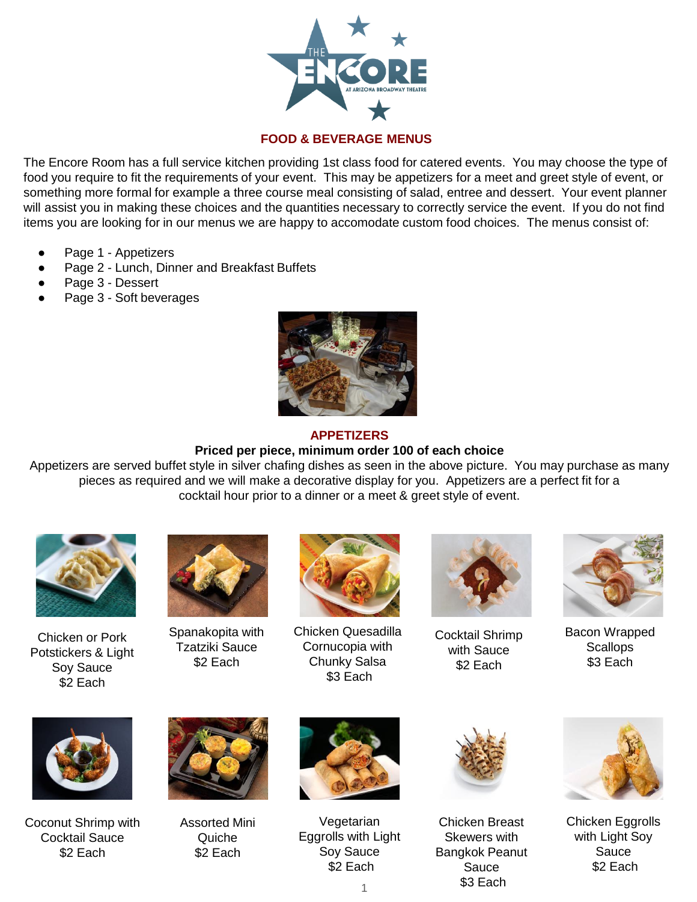

# **FOOD & BEVERAGE MENUS**

The Encore Room has a full service kitchen providing 1st class food for catered events. You may choose the type of food you require to fit the requirements of your event. This may be appetizers for a meet and greet style of event, or something more formal for example a three course meal consisting of salad, entree and dessert. Your event planner will assist you in making these choices and the quantities necessary to correctly service the event. If you do not find items you are looking for in our menus we are happy to accomodate custom food choices. The menus consist of:

- Page 1 Appetizers
- Page 2 Lunch, Dinner and Breakfast Buffets
- Page 3 Dessert
- Page 3 Soft beverages



#### **APPETIZERS**

# **Priced per piece, minimum order 100 of each choice**

Appetizers are served buffet style in silver chafing dishes as seen in the above picture. You may purchase as many pieces as required and we will make a decorative display for you. Appetizers are a perfect fit for a cocktail hour prior to a dinner or a meet & greet style of event.



Chicken or Pork Potstickers & Light Soy Sauce \$2 Each



Spanakopita with Tzatziki Sauce \$2 Each



Chicken Quesadilla Cornucopia with Chunky Salsa \$3 Each



Cocktail Shrimp with Sauce \$2 Each



Bacon Wrapped **Scallops** \$3 Each



Coconut Shrimp with Cocktail Sauce \$2 Each



Assorted Mini **Quiche** \$2 Each



Vegetarian Eggrolls with Light Soy Sauce \$2 Each



Chicken Breast Skewers with Bangkok Peanut Sauce \$3 Each



Chicken Eggrolls with Light Soy Sauce \$2 Each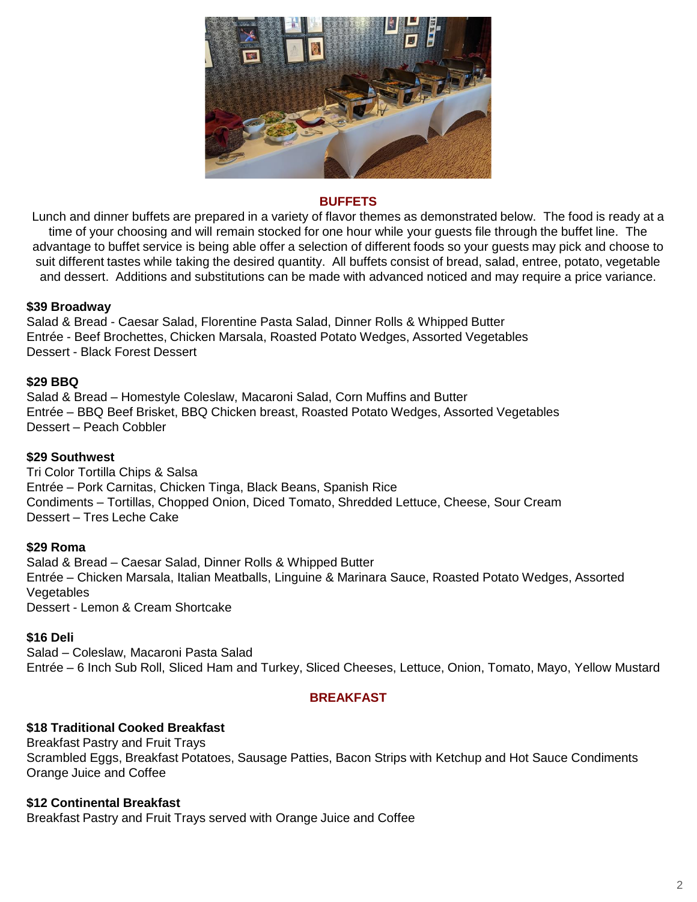

### **BUFFETS**

Lunch and dinner buffets are prepared in a variety of flavor themes as demonstrated below. The food is ready at a time of your choosing and will remain stocked for one hour while your guests file through the buffet line. The advantage to buffet service is being able offer a selection of different foods so your guests may pick and choose to suit different tastes while taking the desired quantity. All buffets consist of bread, salad, entree, potato, vegetable and dessert. Additions and substitutions can be made with advanced noticed and may require a price variance.

# **\$39 Broadway**

Salad & Bread - Caesar Salad, Florentine Pasta Salad, Dinner Rolls & Whipped Butter Entrée - Beef Brochettes, Chicken Marsala, Roasted Potato Wedges, Assorted Vegetables Dessert - Black Forest Dessert

### **\$29 BBQ**

Salad & Bread – Homestyle Coleslaw, Macaroni Salad, Corn Muffins and Butter Entrée – BBQ Beef Brisket, BBQ Chicken breast, Roasted Potato Wedges, Assorted Vegetables Dessert – Peach Cobbler

### **\$29 Southwest**

Tri Color Tortilla Chips & Salsa Entrée – Pork Carnitas, Chicken Tinga, Black Beans, Spanish Rice Condiments – Tortillas, Chopped Onion, Diced Tomato, Shredded Lettuce, Cheese, Sour Cream Dessert – Tres Leche Cake

#### **\$29 Roma**

Salad & Bread – Caesar Salad, Dinner Rolls & Whipped Butter Entrée – Chicken Marsala, Italian Meatballs, Linguine & Marinara Sauce, Roasted Potato Wedges, Assorted **Vegetables** Dessert - Lemon & Cream Shortcake

#### **\$16 Deli**

Salad – Coleslaw, Macaroni Pasta Salad Entrée – 6 Inch Sub Roll, Sliced Ham and Turkey, Sliced Cheeses, Lettuce, Onion, Tomato, Mayo, Yellow Mustard

# **BREAKFAST**

### **\$18 Traditional Cooked Breakfast**

Breakfast Pastry and Fruit Trays Scrambled Eggs, Breakfast Potatoes, Sausage Patties, Bacon Strips with Ketchup and Hot Sauce Condiments Orange Juice and Coffee

# **\$12 Continental Breakfast**

Breakfast Pastry and Fruit Trays served with Orange Juice and Coffee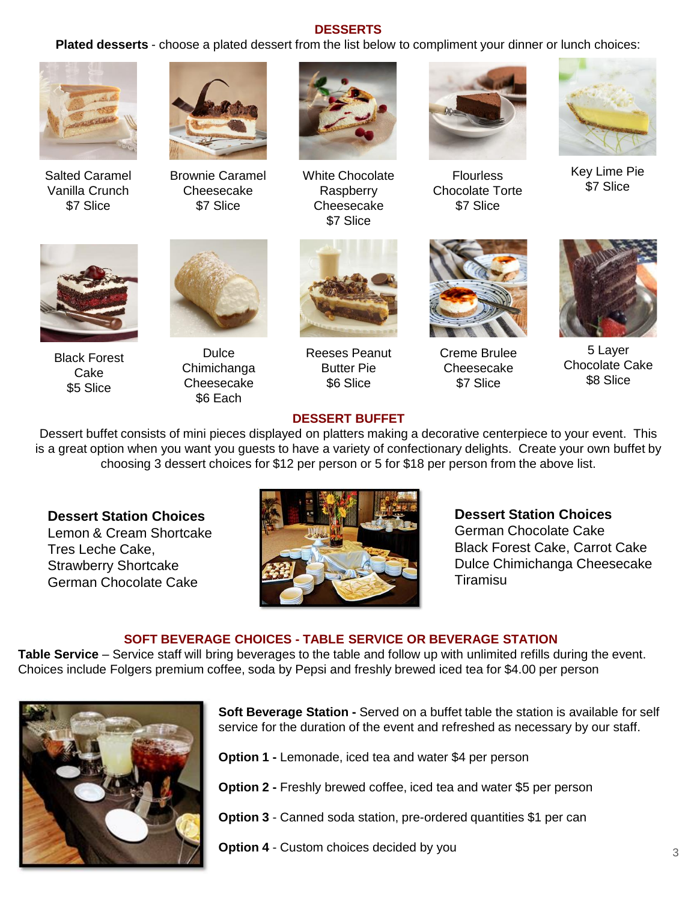# **DESSERTS**

**Plated desserts** - choose a plated dessert from the list below to compliment your dinner or lunch choices:



Salted Caramel Vanilla Crunch \$7 Slice



Brownie Caramel **Cheesecake** \$7 Slice



White Chocolate Raspberry Cheesecake \$7 Slice



**Flourless** Chocolate Torte \$7 Slice



Key Lime Pie \$7 Slice



Black Forest Cake \$5 Slice



**Dulce** Chimichanga **Cheesecake** \$6 Each



Reeses Peanut Butter Pie \$6 Slice



Creme Brulee **Cheesecake** \$7 Slice



5 Layer Chocolate Cake \$8 Slice

### **DESSERT BUFFET**

Dessert buffet consists of mini pieces displayed on platters making a decorative centerpiece to your event. This is a great option when you want you guests to have a variety of confectionary delights. Create your own buffet by choosing 3 dessert choices for \$12 per person or 5 for \$18 per person from the above list.

# **Dessert Station Choices**

Lemon & Cream Shortcake Tres Leche Cake, Strawberry Shortcake German Chocolate Cake



**Dessert Station Choices** German Chocolate Cake Black Forest Cake, Carrot Cake Dulce Chimichanga Cheesecake Tiramisu

### **SOFT BEVERAGE CHOICES - TABLE SERVICE OR BEVERAGE STATION**

**Table Service** – Service staff will bring beverages to the table and follow up with unlimited refills during the event. Choices include Folgers premium coffee, soda by Pepsi and freshly brewed iced tea for \$4.00 per person



**Soft Beverage Station -** Served on a buffet table the station is available for self service for the duration of the event and refreshed as necessary by our staff.

**Option 1 -** Lemonade, iced tea and water \$4 per person

**Option 2 -** Freshly brewed coffee, iced tea and water \$5 per person

**Option 3** - Canned soda station, pre-ordered quantities \$1 per can

**Option 4** - Custom choices decided by you 3